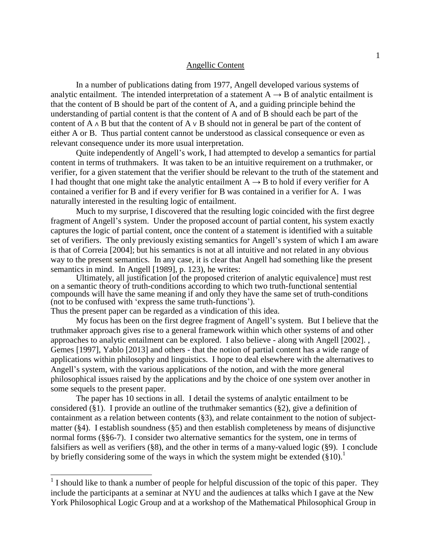### Angellic Content

In a number of publications dating from 1977, Angell developed various systems of analytic entailment. The intended interpretation of a statement  $A \rightarrow B$  of analytic entailment is that the content of B should be part of the content of A, and a guiding principle behind the understanding of partial content is that the content of A and of B should each be part of the content of A ∧ B but that the content of A ∨ B should not in general be part of the content of either A or B. Thus partial content cannot be understood as classical consequence or even as relevant consequence under its more usual interpretation.

Quite independently of Angell's work, I had attempted to develop a semantics for partial content in terms of truthmakers. It was taken to be an intuitive requirement on a truthmaker, or verifier, for a given statement that the verifier should be relevant to the truth of the statement and I had thought that one might take the analytic entailment  $A \rightarrow B$  to hold if every verifier for A contained a verifier for B and if every verifier for B was contained in a verifier for A. I was naturally interested in the resulting logic of entailment.

Much to my surprise, I discovered that the resulting logic coincided with the first degree fragment of Angell's system. Under the proposed account of partial content, his system exactly captures the logic of partial content, once the content of a statement is identified with a suitable set of verifiers. The only previously existing semantics for Angell's system of which I am aware is that of Correia [2004]; but his semantics is not at all intuitive and not related in any obvious way to the present semantics. In any case, it is clear that Angell had something like the present semantics in mind. In Angell [1989], p. 123), he writes:

Ultimately, all justification [of the proposed criterion of analytic equivalence] must rest on a semantic theory of truth-conditions according to which two truth-functional sentential compounds will have the same meaning if and only they have the same set of truth-conditions (not to be confused with 'express the same truth-functions').

Thus the present paper can be regarded as a vindication of this idea.

 $\overline{\phantom{a}}$ 

My focus has been on the first degree fragment of Angell's system. But I believe that the truthmaker approach gives rise to a general framework within which other systems of and other approaches to analytic entailment can be explored. I also believe - along with Angell [2002]. , Gemes [1997], Yablo [2013] and others - that the notion of partial content has a wide range of applications within philosophy and linguistics. I hope to deal elsewhere with the alternatives to Angell's system, with the various applications of the notion, and with the more general philosophical issues raised by the applications and by the choice of one system over another in some sequels to the present paper.

The paper has 10 sections in all. I detail the systems of analytic entailment to be considered (§1). I provide an outline of the truthmaker semantics (§2), give a definition of containment as a relation between contents (§3), and relate containment to the notion of subjectmatter (§4). I establish soundness (§5) and then establish completeness by means of disjunctive normal forms (§§6-7). I consider two alternative semantics for the system, one in terms of falsifiers as well as verifiers (§8), and the other in terms of a many-valued logic (§9). I conclude by briefly considering some of the ways in which the system might be extended  $(\S10)^{1}$ .

<sup>&</sup>lt;sup>1</sup> I should like to thank a number of people for helpful discussion of the topic of this paper. They include the participants at a seminar at NYU and the audiences at talks which I gave at the New York Philosophical Logic Group and at a workshop of the Mathematical Philosophical Group in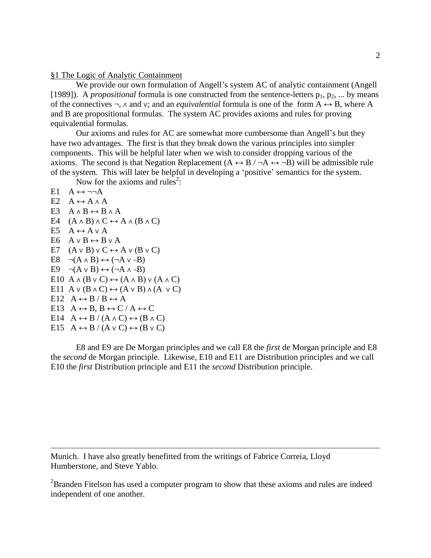## §1 The Logic of Analytic Containment

We provide our own formulation of Angell's system AC of analytic containment (Angell [1989]). A *propositional* formula is one constructed from the sentence-letters  $p_1, p_2, ...$  by means of the connectives ¬, ∧ and ∨; and an *equivalential* formula is one of the form A ↔ B, where A and B are propositional formulas. The system AC provides axioms and rules for proving equivalential formulas.

Our axioms and rules for AC are somewhat more cumbersome than Angell's but they have two advantages. The first is that they break down the various principles into simpler components. This will be helpful later when we wish to consider dropping various of the axioms. The second is that Negation Replacement  $(A \leftrightarrow B / \neg A \leftrightarrow \neg B)$  will be admissible rule of the system. This will later be helpful in developing a 'positive' semantics for the system.

Now for the axioms and rules<sup>2</sup>:

 $E1 \quad A \leftrightarrow \neg\neg A$ E2  $A \leftrightarrow A \wedge A$ E3  $A \wedge B \leftrightarrow B \wedge A$ E4  $(A \wedge B) \wedge C \leftrightarrow A \wedge (B \wedge C)$ E5  $A \leftrightarrow A \vee A$ E6  $A \vee B \leftrightarrow B \vee A$ E7  $(A \vee B) \vee C \leftrightarrow A \vee (B \vee C)$ E8  $\neg(A \land B) \leftrightarrow (\neg A \lor \neg B)$ E9  $\neg(A \lor B) \leftrightarrow (\neg A \land \neg B)$ E10 A  $\land$  (B  $\lor$  C)  $\leftrightarrow$  (A  $\land$  B)  $\lor$  (A  $\land$  C) E11 A  $\vee$  (B  $\wedge$  C)  $\leftrightarrow$  (A  $\vee$  B)  $\wedge$  (A  $\vee$  C) E12  $A \leftrightarrow B / B \leftrightarrow A$ E13  $A \leftrightarrow B$ ,  $B \leftrightarrow C / A \leftrightarrow C$ E14  $A \leftrightarrow B / (A \land C) \leftrightarrow (B \land C)$ E15  $A \leftrightarrow B / (A \vee C) \leftrightarrow (B \vee C)$ 

 $\overline{\phantom{a}}$ 

E8 and E9 are De Morgan principles and we call E8 the *first* de Morgan principle and E8 the *second* de Morgan principle. Likewise, E10 and E11 are Distribution principles and we call E10 the *first* Distribution principle and E11 the *second* Distribution principle.

Munich. I have also greatly benefitted from the writings of Fabrice Correia, Lloyd Humberstone, and Steve Yablo.

<sup>2</sup>Branden Fitelson has used a computer program to show that these axioms and rules are indeed independent of one another.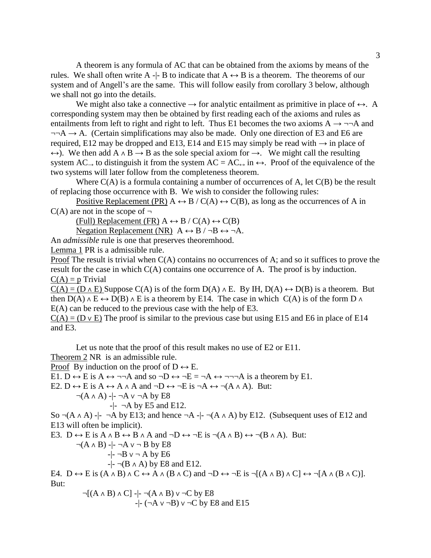A theorem is any formula of AC that can be obtained from the axioms by means of the rules. We shall often write A  $-$ - B to indicate that A  $\leftrightarrow$  B is a theorem. The theorems of our system and of Angell's are the same. This will follow easily from corollary 3 below, although we shall not go into the details.

We might also take a connective  $\rightarrow$  for analytic entailment as primitive in place of  $\leftrightarrow$ . A corresponding system may then be obtained by first reading each of the axioms and rules as entailments from left to right and right to left. Thus E1 becomes the two axioms  $A \rightarrow \neg\neg A$  and  $\neg\neg A \rightarrow A$ . (Certain simplifications may also be made. Only one direction of E3 and E6 are required, E12 may be dropped and E13, E14 and E15 may simply be read with  $\rightarrow$  in place of  $\leftrightarrow$ ). We then add A  $\land$  B  $\rightarrow$  B as the sole special axiom for  $\rightarrow$ . We might call the resulting system AC  $\rightarrow$  to distinguish it from the system AC = AC $\leftrightarrow$  in  $\leftrightarrow$ . Proof of the equivalence of the two systems will later follow from the completeness theorem.

Where  $C(A)$  is a formula containing a number of occurrences of A, let  $C(B)$  be the result of replacing those occurrence with B. We wish to consider the following rules:

Positive Replacement (PR)  $A \leftrightarrow B / C(A) \leftrightarrow C(B)$ , as long as the occurrences of A in  $C(A)$  are not in the scope of  $\neg$ 

(Full) Replacement (FR)  $A \leftrightarrow B / C(A) \leftrightarrow C(B)$ 

Negation Replacement (NR)  $A \leftrightarrow B / \neg B \leftrightarrow \neg A$ .

An *admissible* rule is one that preserves theoremhood.

Lemma 1 PR is a admissible rule.

Proof The result is trivial when  $C(A)$  contains no occurrences of A; and so it suffices to prove the result for the case in which C(A) contains one occurrence of A. The proof is by induction.  $C(A) = p$  Trivial

 $C(A) = (D \wedge E)$  Suppose  $C(A)$  is of the form  $D(A) \wedge E$ . By IH,  $D(A) \leftrightarrow D(B)$  is a theorem. But then D(A)  $\land$  E  $\leftrightarrow$  D(B)  $\land$  E is a theorem by E14. The case in which C(A) is of the form D  $\land$ E(A) can be reduced to the previous case with the help of E3.

 $C(A) = (D \vee E)$  The proof is similar to the previous case but using E15 and E6 in place of E14 and E3.

Let us note that the proof of this result makes no use of E2 or E11.

Theorem 2 NR is an admissible rule.

Proof By induction on the proof of  $D \leftrightarrow E$ .

E1. D  $\leftrightarrow$  E is A  $\leftrightarrow$   $\neg\neg$ A and so  $\neg$ D  $\leftrightarrow \neg$ E =  $\neg$ A  $\leftrightarrow$   $\neg\neg\neg$ A is a theorem by E1.

E2. D  $\leftrightarrow$  E is A  $\leftrightarrow$  A  $\land$  A and  $\neg$ D  $\leftrightarrow$   $\neg$ E is  $\neg$ A  $\leftrightarrow$   $\neg$ (A  $\land$  A). But:

 $\neg(A \land A)$  -|-  $\neg A \lor \neg A$  by E8

$$
-|- \neg A \text{ by E5 and E12.}
$$

So  $\neg(A \land A)$  -|-  $\neg A$  by E13; and hence  $\neg A$  -|-  $\neg(A \land A)$  by E12. (Subsequent uses of E12 and E13 will often be implicit).

E3. D  $\leftrightarrow$  E is A  $\land$  B  $\leftrightarrow$  B  $\land$  A and  $\neg$ D  $\leftrightarrow$   $\neg$ E is  $\neg$ (A  $\land$  B)  $\leftrightarrow$   $\neg$ (B  $\land$  A). But:

 $\neg(A \land B)$  -|-  $\neg A \lor \neg B$  by E8  $-$ |-  $\neg B$   $\vee \neg A$  by E6

$$
-|- \neg (B \land A)
$$
 by E8 and E12.

E4. D  $\leftrightarrow$  E is  $(A \wedge B) \wedge C \leftrightarrow A \wedge (B \wedge C)$  and  $\neg D \leftrightarrow \neg E$  is  $\neg [(A \wedge B) \wedge C] \leftrightarrow \neg [A \wedge (B \wedge C)].$ But:

$$
\neg[(A \land B) \land C] \neg[\neg(A \land B) \lor \neg C \text{ by } E8
$$
  
-
$$
\neg[\neg A \lor \neg B) \lor \neg C \text{ by } E8 \text{ and } E15
$$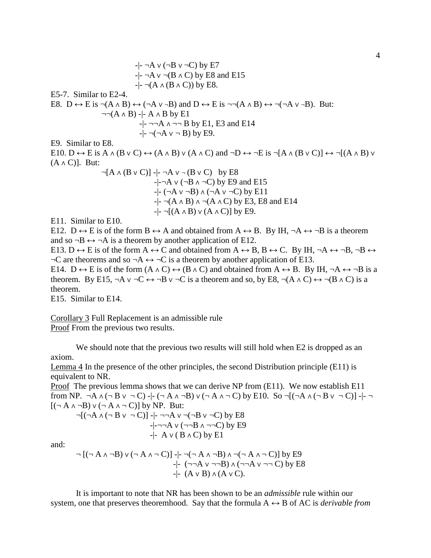$$
-|\neg A \lor (\neg B \lor \neg C) \text{ by } E7
$$
\n
$$
-|\neg A \lor \neg (B \land C) \text{ by } E8 \text{ and } E15
$$
\n
$$
-|\neg (A \land (B \land C)) \text{ by } E8.
$$
\nE5-7. Similar to E2-4.  
\nE8. D ↔ E is  $\neg (A \land B) \leftrightarrow (\neg A \lor \neg B) \text{ and } D \leftrightarrow E \text{ is } \neg \neg (A \land B) \leftrightarrow \neg (\neg A \lor \neg B).$  But:  
\n
$$
\neg \neg (A \land B) \rightarrow A \land B \text{ by } E1
$$
\n
$$
-|\neg A \land \neg \neg B \text{ by } E1, E3 \text{ and } E14
$$
\n
$$
-|\neg (A \lor \neg B) \text{ by } E9.
$$
\nE9. Similar to E8.  
\nE10. D ↔ E is A ∧ (B ∨ C) ↔ (A ∧ B) ∨ (A ∧ C) and  $\neg D \leftrightarrow \neg E$  is  $\neg [A \land (B ∨ C)] \leftrightarrow \neg [(A \land B) ∨ (A ∧ C)].$  But:  
\n
$$
\neg [A \land (B ∨ C)] - |\neg A \lor \neg (B ∨ C) \text{ by } E8
$$
\n
$$
-|\neg A \lor (\neg B \land \neg C) \text{ by } E9 \text{ and } E15
$$
\n
$$
-|\neg (A \land B) \land (\neg A \lor \neg C) \text{ by } E11
$$
\n
$$
-|\neg (A \land B) \land (\neg A \land C) \text{ by } E3, E8 \text{ and } E14
$$
\n
$$
-|\neg [(A \land B) \lor (A \land C)] \text{ by } E9.
$$
\nE11. Similar to E10.  
\nE12. D ↔ E is of the form B ↔ A and obtained from A ↔ B. By IH,  $\neg A \leftrightarrow \neg B$  is a theorem and so  $\neg B \leftrightarrow \neg A$  is a theorem by another application of E12.  
\nE13. D ↔ E is of the form A ↔ C and obtained from A ↔ B, B ↔ C. By IH,  $\neg A \leftrightarrow \neg B, \neg B \leftrightarrow \neg C$  are theorems and so  $\neg A \leftrightarrow \neg C$  is a theorem by another application of E13.

E14. D  $\leftrightarrow$  E is of the form  $(A \land C) \leftrightarrow (B \land C)$  and obtained from  $A \leftrightarrow B$ . By IH,  $\neg A \leftrightarrow \neg B$  is a theorem. By E15, ¬A v ¬C ↔ ¬B v ¬C is a theorem and so, by E8, ¬(A  $\land$  C)  $\leftrightarrow$  ¬(B  $\land$  C) is a theorem.

E15. Similar to E14.

Corollary 3 Full Replacement is an admissible rule Proof From the previous two results.

We should note that the previous two results will still hold when E2 is dropped as an axiom.

Lemma 4 In the presence of the other principles, the second Distribution principle (E11) is equivalent to NR.

Proof The previous lemma shows that we can derive NP from (E11). We now establish E11 from NP.  $\neg A \land (\neg B \lor \neg C) \neg (-A \land \neg B) \lor (\neg A \land \neg C)$  by E10. So  $\neg [(\neg A \land (\neg B \lor \neg C)] \neg [$ ( $\neg A \land \neg B$ )  $\lor$  ( $\neg A \land \neg C$ )] by NP. But:

 $\neg$ [ $(\neg A \land (\neg B \lor \neg C)]$  -|-  $\neg\neg A \lor \neg (\neg B \lor \neg C)$  by E8  $-$ |- $\neg\neg A \vee (\neg\neg B \wedge \neg\neg C)$  by E9  $-$ |- A  $\vee$  (B  $\wedge$  C) by E1

and:

$$
\neg [(\neg A \land \neg B) \lor (\neg A \land \neg C)] \neg [\neg (\neg A \land \neg B) \land \neg (\neg A \land \neg C)] by E9
$$
\n
$$
\neg [\neg \neg A \lor \neg \neg B) \land (\neg \neg A \lor \neg \neg C) by E8
$$
\n
$$
\neg [\neg (A \lor B) \land (A \lor C)].
$$

It is important to note that NR has been shown to be an *admissible* rule within our system, one that preserves theoremhood. Say that the formula  $A \leftrightarrow B$  of AC is *derivable from*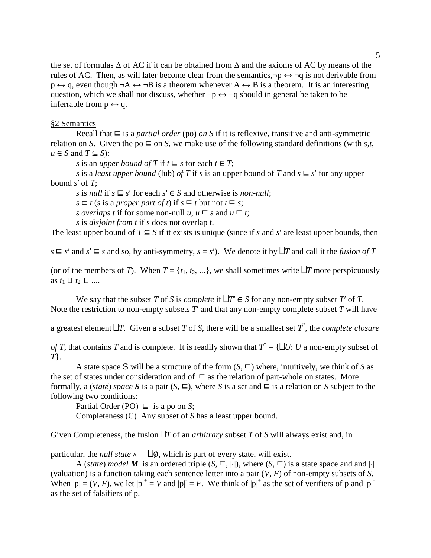the set of formulas  $\Delta$  of AC if it can be obtained from  $\Delta$  and the axioms of AC by means of the rules of AC. Then, as will later become clear from the semantics, $\neg p \leftrightarrow \neg q$  is not derivable from  $p \leftrightarrow q$ , even though  $\neg A \leftrightarrow \neg B$  is a theorem whenever  $A \leftrightarrow B$  is a theorem. It is an interesting question, which we shall not discuss, whether  $\neg p \leftrightarrow \neg q$  should in general be taken to be inferrable from  $p \leftrightarrow q$ .

### §2 Semantics

Recall that ⊑ is a *partial order* (po) *on S* if it is reflexive, transitive and anti-symmetric relation on *S*. Given the po  $\subseteq$  on *S*, we make use of the following standard definitions (with *s*,*t*, *u* ∈ *S* and *T* ⊆ *S*):

*s* is an *upper bound of T* if  $t \subseteq s$  for each  $t \in T$ ;

*s* is a *least upper bound* (lub) *of T* if *s* is an upper bound of *T* and  $s \subseteq s'$  for any upper bound *s*ʹ of *T*;

*s* is *null* if  $s \subseteq s'$  for each  $s' \in S$  and otherwise is *non-null*;

 $s \subseteq t$  (*s* is a *proper part of t*) if  $s \subseteq t$  but not  $t \subseteq s$ ;

*s overlaps t* if for some non-null *u*,  $u \subseteq s$  and  $u \subseteq t$ ;

*s* is *disjoint from t* if s does not overlap t.

The least upper bound of  $T \subseteq S$  if it exists is unique (since if *s* and *s'* are least upper bounds, then

 $s \subseteq s'$  and  $s' \subseteq s$  and so, by anti-symmetry,  $s = s'$ ). We denote it by  $\Box T$  and call it the *fusion of*  $T$ 

(or of the members of *T*). When  $T = \{t_1, t_2, ...\}$ , we shall sometimes write  $\Box T$  more perspicuously as  $t_1$  ⊔  $t_2$  ⊔ ....

We say that the subset *T* of *S* is *complete* if  $\Box T \in S$  for any non-empty subset *T* of *T*. Note the restriction to non-empty subsets  $T'$  and that any non-empty complete subset  $T$  will have

a greatest element  $\Box T$ . Given a subset *T* of *S*, there will be a smallest set  $T^*$ , the *complete closure* 

*of T*, that contains *T* and is complete. It is readily shown that  $T^* = \{\sqcup U : U \text{ a non-empty subset of } \}$ *T*}.

A state space S will be a structure of the form  $(S, \subseteq)$  where, intuitively, we think of *S* as the set of states under consideration and of ⊑ as the relation of part-whole on states. More formally, a (*state*) *space* **S** is a pair  $(S, \subseteq)$ , where *S* is a set and  $\subseteq$  is a relation on *S* subject to the following two conditions:

Partial Order (PO)  $\sqsubseteq$  is a po on *S*; Completeness (C) Any subset of *S* has a least upper bound.

Given Completeness, the fusion  $\Box T$  of an *arbitrary* subset T of S will always exist and, in

particular, the *null state*  $\land = \Box \emptyset$ , which is part of every state, will exist.

A (*state*) *model M* is an ordered triple  $(S, \subseteq, |·|)$ , where  $(S, \subseteq)$  is a state space and and  $|·|$ (valuation) is a function taking each sentence letter into a pair (*V*, *F*) of non-empty subsets of *S*. When  $|p| = (V, F)$ , we let  $|p|^+ = V$  and  $|p| = F$ . We think of  $|p|^+$  as the set of verifiers of p and  $|p|^+$ as the set of falsifiers of p.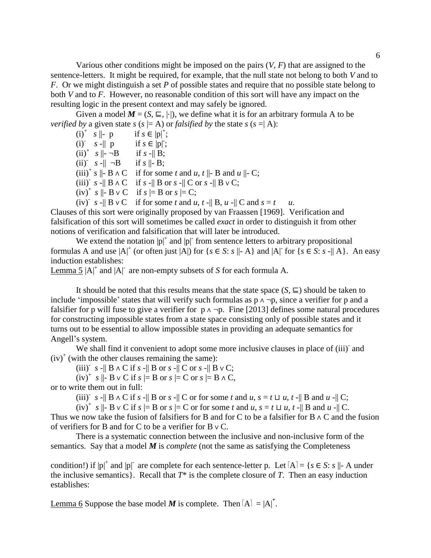Various other conditions might be imposed on the pairs (*V*, *F*) that are assigned to the sentence-letters. It might be required, for example, that the null state not belong to both *V* and to *F*. Or we might distinguish a set *P* of possible states and require that no possible state belong to both *V* and to *F*. However, no reasonable condition of this sort will have any impact on the resulting logic in the present context and may safely be ignored.

Given a model  $M = (S, \sqsubseteq, |·|)$ , we define what it is for an arbitrary formula A to be *verified by* a given state  $s$  ( $s$   $| = A$ ) or *falsified by* the state  $s$  ( $s$   $=$   $| A$ ):

(i)<sup>+</sup>  $s \parallel -p$  if  $s \in |p|^{+}$ if  $s \in |p|^+$ ; (i)  $s - ||p$  if  $s \in |p|$ ;  $(ii)^{+}$  *s*  $\|\text{-} \neg B$  if *s* - $\|$  **B**; (ii)  $s - || -B$  if  $s || -B;$  $(iii)^{+} s \parallel B \wedge C$  if for some *t* and *u*, *t* $\parallel$ - B and *u* $\parallel$ - C;  $(iii)$ <sup>*s*</sup>  $s$  - $|| B \wedge C$  if  $s$  - $|| B \text{ or } s$  - $|| C \text{ or } s$  - $|| B \vee C$ ;  $(iv)^+$  *s*  $\parallel$ - **B**  $\vee$  **C** if *s*  $\parallel$ = **B** or *s*  $\parallel$ = **C**;

(iv)<sup> $\cdot$ </sup> *s* - $||$  **B**  $\vee$  **C** if for some *t* and *u*, *t* - $||$  **B**, *u* - $||$  **C** and *s* = *t u*.

Clauses of this sort were originally proposed by van Fraassen [1969]. Verification and falsification of this sort will sometimes be called *exact* in order to distinguish it from other notions of verification and falsification that will later be introduced.

We extend the notation  $|p|^+$  and  $|p|^-$  from sentence letters to arbitrary propositional formulas A and use  $|A|^+$  (or often just  $|A|$ ) for  $\{s \in S : s \mid A\}$  and  $|A|$  for  $\{s \in S : s \mid A\}$ . An easy induction establishes:

Lemma  $5 |A|^+$  and  $|A|^-$  are non-empty subsets of *S* for each formula A.

It should be noted that this results means that the state space  $(S, \subseteq)$  should be taken to include 'impossible' states that will verify such formulas as p ∧ ¬p, since a verifier for p and a falsifier for p will fuse to give a verifier for  $p \land \neg p$ . Fine [2013] defines some natural procedures for constructing impossible states from a state space consisting only of possible states and it turns out to be essential to allow impossible states in providing an adequate semantics for Angell's system.

We shall find it convenient to adopt some more inclusive clauses in place of (iii) and  $(iv)^{+}$  (with the other clauses remaining the same):

(iii)<sup>-</sup>  $s$  - $||$  B  $\wedge$  C if  $s$  - $||$  B or  $s$  - $||$  C or  $s$  - $||$  B  $\vee$  C;

 $(iv)^+$  *s*  $||$ - **B**  $\vee$  **C** if *s*  $|| =$  **B** or *s*  $|| =$  **C** or *s*  $|| =$  **B**  $\wedge$  **C**,

or to write them out in full:

(iii)<sup>-</sup> *s* -|| B ∧ C if *s* -|| B or *s* -|| C or for some *t* and *u*, *s* = *t*  $\sqcup$  *u*, *t* -|| B and *u* -|| C;

 $(iv)^{+}$  *s*  $||$ - B v C if *s*  $|| =$  B or *s*  $|| = C$  or for some *t* and *u*, *s* = *t*  $\sqcup$  *u*, *t* - $||$  B and *u* - $||$  C. Thus we now take the fusion of falsifiers for B and for C to be a falsifier for B ∧ C and the fusion of verifiers for B and for C to be a verifier for B ∨ C.

There is a systematic connection between the inclusive and non-inclusive form of the semantics. Say that a model *M* is *complete* (not the same as satisfying the Completeness

condition!) if  $|p|^+$  and  $|p|^-$  are complete for each sentence-letter p. Let  $[A] = \{s \in S : s \mid A$  under the inclusive semantics}. Recall that  $T^*$  is the complete closure of  $T$ . Then an easy induction establishes:

Lemma 6 Suppose the base model *M* is complete. Then  $[A] = |A|^*$ .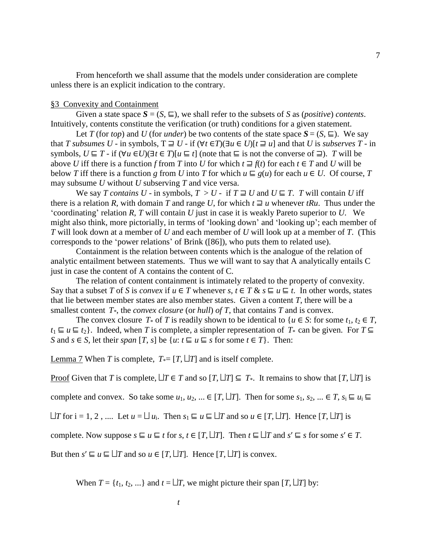From henceforth we shall assume that the models under consideration are complete unless there is an explicit indication to the contrary.

#### §3 Convexity and Containment

Given a state space  $S = (S, \subseteq)$ , we shall refer to the subsets of *S* as (*positive*) *contents*. Intuitively, contents constitute the verification (or truth) conditions for a given statement.

Let *T* (for *top*) and *U* (for *under*) be two contents of the state space  $S = (S, \sqsubseteq)$ . We say that *T* subsumes *U* − in symbols,  $T \supseteq U$  − if  $(\forall t \in T)(\exists u \in U)$ [ $t \supseteq u$ ] and that *U* is *subserves T* − in symbols,  $U \subseteq T$  - if  $(\forall u \in U)(\exists t \in T)[u \subseteq t]$  (note that  $\subseteq$  is not the converse of  $\supseteq$ ). *T* will be above *U* iff there is a function *f* from *T* into *U* for which  $t \equiv f(t)$  for each  $t \in T$  and *U* will be below *T* iff there is a function *g* from *U* into *T* for which  $u \nsubseteq g(u)$  for each  $u \in U$ . Of course, *T* may subsume *U* without *U* subserving *T* and vice versa.

We say *T* contains  $U$  - in symbols,  $T > U$  - if  $T \supseteq U$  and  $U \subseteq T$ . *T* will contain *U* iff there is a relation *R*, with domain *T* and range *U*, for which  $t \sqsupseteq u$  whenever *tRu*. Thus under the 'coordinating' relation *R*, *T* will contain *U* just in case it is weakly Pareto superior to *U*. We might also think, more pictorially, in terms of 'looking down' and 'looking up'; each member of *T* will look down at a member of *U* and each member of *U* will look up at a member of *T*. (This corresponds to the 'power relations' of Brink ([86]), who puts them to related use).

Containment is the relation between contents which is the analogue of the relation of analytic entailment between statements. Thus we will want to say that A analytically entails C just in case the content of A contains the content of C.

The relation of content containment is intimately related to the property of convexity. Say that a subset *T* of *S* is *convex* if  $u \in T$  whenever  $s, t \in T$  &  $s \subseteq u \subseteq t$ . In other words, states that lie between member states are also member states. Given a content *T*, there will be a smallest content *T*<sup>\*</sup>, the *convex closure* (or *hull*) *of T*, that contains *T* and is convex.

The convex closure  $T^*$  of  $T$  is readily shown to be identical to  $\{u \in S : \text{ for some } t_1, t_2 \in T\}$ ,  $t_1 \subseteq u \subseteq t_2$ . Indeed, when *T* is complete, a simpler representation of  $T^*$  can be given. For  $T \subseteq$ *S* and *s* ∈ *S*, let their *span* [*T*, *s*] be  $\{u: t \subseteq u \subseteq s \text{ for some } t \in T\}$ . Then:

<u>Lemma 7</u> When *T* is complete,  $T = [T, \perp T]$  and is itself complete.

Proof Given that *T* is complete,  $\Box T \in T$  and so  $[T, \Box T] \subseteq T$ <sup>\*</sup>. It remains to show that  $[T, \Box T]$  is

complete and convex. So take some  $u_1, u_2, ... \in [T, \perp T]$ . Then for some  $s_1, s_2, ... \in T$ ,  $s_i \sqsubseteq u_i \sqsubseteq T$ 

 $\Box T$  for i = 1, 2, .... Let *u* =  $\Box u$ <sub>i</sub>. Then *s*<sub>1</sub> ⊑ *u* ⊑  $\Box T$  and so *u* ∈ [*T*,  $\Box T$ ]. Hence [*T*,  $\Box T$ ] is

complete. Now suppose  $s \subseteq u \subseteq t$  for  $s, t \in [T, \perp T]$ . Then  $t \subseteq \perp T$  and  $s' \subseteq s$  for some  $s' \in T$ .

But then  $s' \sqsubseteq u \sqsubseteq \Box T$  and so  $u \in [T, \Box T]$ . Hence  $[T, \Box T]$  is convex.

When  $T = \{t_1, t_2, ...\}$  and  $t = \Box T$ , we might picture their span  $[T, \Box T]$  by: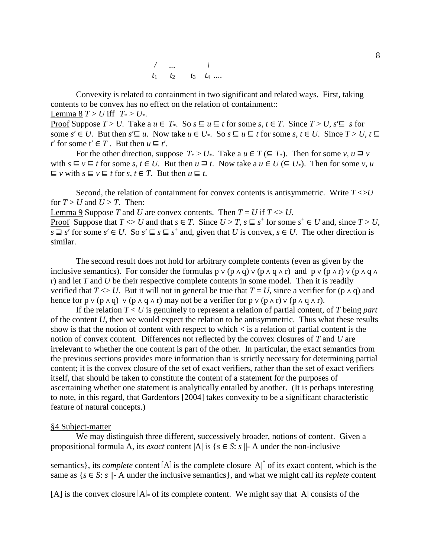| $t_1$ | I٥ | $t_3$ | $t_4$ |
|-------|----|-------|-------|

Convexity is related to containment in two significant and related ways. First, taking contents to be convex has no effect on the relation of containment::

Lemma 8  $T > U$  iff  $T \ge U^*$ .

Proof Suppose  $T > U$ . Take a  $u \in T^*$ . So  $s \sqsubseteq u \sqsubseteq t$  for some  $s, t \in T$ . Since  $T > U$ ,  $s' \sqsubseteq s$  for some *s'* ∈ *U*. But then *s'* ⊑ *u*. Now take  $u \in U^*$ . So  $s \subseteq u \subseteq t$  for some *s*,  $t \in U$ . Since  $T > U$ ,  $t \subseteq$ *t*' for some  $t' \in T$ . But then  $u \subseteq t'$ .

For the other direction, suppose  $T^* > U^*$ . Take a  $u \in T (\subseteq T^*)$ . Then for some  $v, u \sqsupseteq v$ with  $s \subseteq v \subseteq t$  for some  $s, t \in U$ . But then  $u \sqsupseteq t$ . Now take a  $u \in U \subseteq U^*$ . Then for some  $v, u$ ⊑ *v* with *s* ⊑ *v* ⊑ *t* for *s*, *t* ∈ *T*. But then *u* ⊑ *t*.

Second, the relation of containment for convex contents is antisymmetric. Write  $T \ll U$ for  $T > U$  and  $U > T$ . Then:

<u>Lemma 9</u> Suppose *T* and *U* are convex contents. Then  $T = U$  if  $T \gg U$ .

Proof Suppose that  $T \ll U$  and that  $s \in T$ . Since  $U > T$ ,  $s \subseteq s^+$  for some  $s^+ \in U$  and, since  $T > U$ , *s*  $\supseteq$  *s'* for some *s'* ∈ *U*. So *s'* ⊑ *s* ⊑ *s*<sup> $+$ </sup> and, given that *U* is convex, *s* ∈ *U*. The other direction is similar.

The second result does not hold for arbitrary complete contents (even as given by the inclusive semantics). For consider the formulas  $p \vee (p \wedge q) \vee (p \wedge q \wedge r)$  and  $p \vee (p \wedge r) \vee (p \wedge q \wedge r)$ r) and let *T* and *U* be their respective complete contents in some model. Then it is readily verified that *T*  $\langle$  *U*. But it will not in general be true that *T* = *U*, since a verifier for (p  $\land$  q) and hence for p  $\vee$  (p  $\wedge$  q)  $\vee$  (p  $\wedge$  q  $\wedge$  r) may not be a verifier for p  $\vee$  (p  $\wedge$  r)  $\vee$  (p  $\wedge$  q  $\wedge$  r).

If the relation *T* < *U* is genuinely to represent a relation of partial content, of *T* being *part* of the content *U*, then we would expect the relation to be antisymmetric. Thus what these results show is that the notion of content with respect to which < is a relation of partial content is the notion of convex content. Differences not reflected by the convex closures of *T* and *U* are irrelevant to whether the one content is part of the other. In particular, the exact semantics from the previous sections provides more information than is strictly necessary for determining partial content; it is the convex closure of the set of exact verifiers, rather than the set of exact verifiers itself, that should be taken to constitute the content of a statement for the purposes of ascertaining whether one statement is analytically entailed by another. (It is perhaps interesting to note, in this regard, that Gardenfors [2004] takes convexity to be a significant characteristic feature of natural concepts.)

#### §4 Subject-matter

We may distinguish three different, successively broader, notions of content. Given a propositional formula A, its *exact* content  $|A|$  is  $\{s \in S : s \mid A\}$  under the non-inclusive

semantics}, its *complete* content  $[A]$  is the complete closure  $|A|^*$  of its exact content, which is the same as  $\{s \in S: s \mid A \text{ under the inclusive semantics}\}\$ , and what we might call its *replete* content

[A] is the convex closure  $[A]_{\ast}$  of its complete content. We might say that  $|A|$  consists of the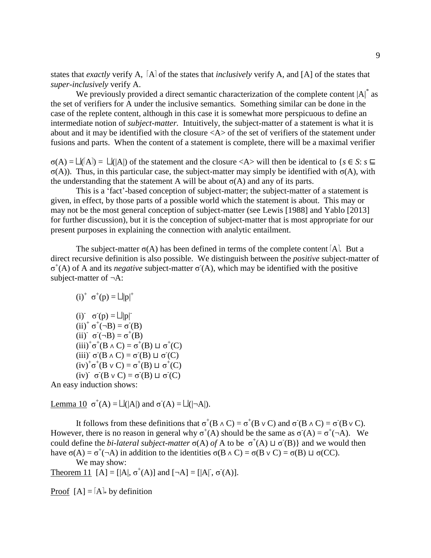states that *exactly* verify A, [A] of the states that *inclusively* verify A, and [A] of the states that *super-inclusively* verify A.

We previously provided a direct semantic characterization of the complete content  $|A|^*$  as the set of verifiers for A under the inclusive semantics. Something similar can be done in the case of the replete content, although in this case it is somewhat more perspicuous to define an intermediate notion of *subject*-*matter.* Intuitively, the subject-matter of a statement is what it is about and it may be identified with the closure <A> of the set of verifiers of the statement under fusions and parts. When the content of a statement is complete, there will be a maximal verifier

 $\sigma(A) = \Box(\Box A) = \Box(\Box A)$  of the statement and the closure <A> will then be identical to {*s* ∈ *S*: *s* ⊑ σ(A)). Thus, in this particular case, the subject-matter may simply be identified with σ(A), with the understanding that the statement A will be about  $\sigma(A)$  and any of its parts.

This is a 'fact'-based conception of subject-matter; the subject-matter of a statement is given, in effect, by those parts of a possible world which the statement is about. This may or may not be the most general conception of subject-matter (see Lewis [1988] and Yablo [2013] for further discussion), but it is the conception of subject-matter that is most appropriate for our present purposes in explaining the connection with analytic entailment.

The subject-matter  $\sigma(A)$  has been defined in terms of the complete content [A]. But a direct recursive definition is also possible. We distinguish between the *positive* subject-matter of  $σ<sup>+</sup>(A)$  of A and its *negative* subject-matter  $σ(A)$ , which may be identified with the positive subject-matter of ¬A:

$$
(i)^+ \ \sigma^+(p) = \Box |p|^+
$$

(i)  $\sigma(p) = \Box |p|$  $(ii)^{+} \sigma^{+}(\neg B) = \sigma(B)$ (ii)  $\sigma(\neg B) = \sigma^+(B)$  $(iii)^{+}\sigma^{+}(B \wedge C) = \sigma^{+}(B) \sqcup \sigma^{+}(C)$ (iii)<sup>-</sup> σ<sup>-</sup>(B ∧ C) = σ<sup>-</sup>(B) ⊔ σ<sup>-</sup>(C)  $(iv)^{+} \sigma^{+}(B \vee C) = \sigma^{+}(B) \sqcup \sigma^{+}(C)$ (iv)<sup>-</sup>  $\sigma$ <sup>-</sup>(B v C) =  $\sigma$ <sup>-</sup>(B)  $\sqcup$   $\sigma$ <sup>-</sup>(C)

An easy induction shows:

Lemma 10  $\sigma^+(A) = \Box(|A|)$  and  $\sigma(A) = \Box(|\neg A|)$ .

It follows from these definitions that  $\sigma^+(B \wedge C) = \sigma^+(B \vee C)$  and  $\sigma(B \wedge C) = \sigma(B \vee C)$ . However, there is no reason in general why  $\sigma^+(A)$  should be the same as  $\sigma(A) = \sigma^+(-A)$ . We could define the *bi-lateral subject-matter*  $\sigma(A)$  *of* A to be  $\sigma^+(A) \sqcup \sigma(B)$ } and we would then have  $\sigma(A) = \sigma^+$ ( $\neg A$ ) in addition to the identities  $\sigma(B \wedge C) = \sigma(B \vee C) = \sigma(B) \sqcup \sigma(CC)$ .

We may show: Theorem 11 [A] = [|A|,  $\sigma^+(A)$ ] and  $[\neg A] = [|A|, \sigma^-(A)]$ .

Proof  $[A] = [A]_{\ast}$  by definition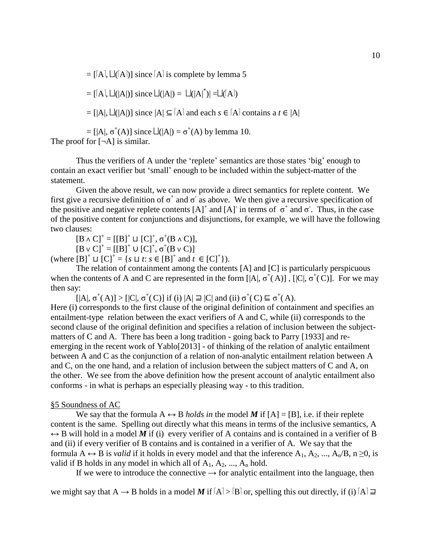$=$  [[A],  $\Box$ ([A])] since [A] is complete by lemma 5

 $= [[A], L(|A|)]$  since  $L(|A|) = L(|A|^*) = L(|A|)$ 

 $=$  [|A|,  $\Box$ (|A|)] since  $|A| \subseteq [A]$  and each  $s \in [A]$  contains a  $t \in |A|$ 

= [|A|,  $\sigma^+(A)$ ] since  $\Box(A) = \sigma^+(A)$  by lemma 10. The proof for  $[\neg A]$  is similar.

Thus the verifiers of A under the 'replete' semantics are those states 'big' enough to contain an exact verifier but 'small' enough to be included within the subject-matter of the

statement.

Given the above result, we can now provide a direct semantics for replete content. We first give a recursive definition of  $\sigma^+$  and  $\sigma^-$  as above. We then give a recursive specification of the positive and negative replete contents  $[A]^+$  and  $[A]^-$  in terms of  $\sigma^+$  and  $\sigma^-$ . Thus, in the case of the positive content for conjunctions and disjunctions, for example, we will have the following two clauses:

 $[B \wedge C]^+ = [[B]^+ \sqcup [C]^+, \sigma^+(B \wedge C)],$ 

 $[B \vee C]^+ = [[B]^+ \cup [C]^+, \sigma^+(B \vee C)]$ 

(where  $[B]^+ \sqcup [C]^+ = \{ s \sqcup t : s \in [B]^+ \text{ and } t \in [C]^+ \}.$ 

The relation of containment among the contents [A] and [C] is particularly perspicuous when the contents of A and C are represented in the form  $[|A|, \sigma^+(A)]$ ,  $[|C|, \sigma^+(C)]$ . For we may then say:

 $[|A|, \sigma^+(A)] > [|C|, \sigma^+(C)]$  if (i)  $|A| \supseteq |C|$  and (ii)  $\sigma^+(C) \sqsubseteq \sigma^+(A)$ .

Here (i) corresponds to the first clause of the original definition of containment and specifies an entailment-type relation between the exact verifiers of A and C, while (ii) corresponds to the second clause of the original definition and specifies a relation of inclusion between the subjectmatters of C and A. There has been a long tradition - going back to Parry [1933] and reemerging in the recent work of Yablo[2013] - of thinking of the relation of analytic entailment between A and C as the conjunction of a relation of non-analytic entailment relation between A and C, on the one hand, and a relation of inclusion between the subject matters of C and A, on the other. We see from the above definition how the present account of analytic entailment also conforms - in what is perhaps an especially pleasing way - to this tradition.

### §5 Soundness of AC

We say that the formula  $A \leftrightarrow B$  *holds in* the model M if  $[A] = [B]$ , i.e. if their replete content is the same. Spelling out directly what this means in terms of the inclusive semantics, A  $\leftrightarrow$  B will hold in a model M if (i) every verifier of A contains and is contained in a verifier of B and (ii) if every verifier of B contains and is contained in a verifier of A. We say that the formula  $A \leftrightarrow B$  is *valid* if it holds in every model and that the inference  $A_1, A_2, ..., A_n/B, n \ge 0$ , is valid if B holds in any model in which all of  $A_1, A_2, ..., A_n$  hold.

If we were to introduce the connective  $\rightarrow$  for analytic entailment into the language, then

we might say that A  $\rightarrow$  B holds in a model M if  $[A] > [B]$  or, spelling this out directly, if (i)  $[A] \sqsupseteq$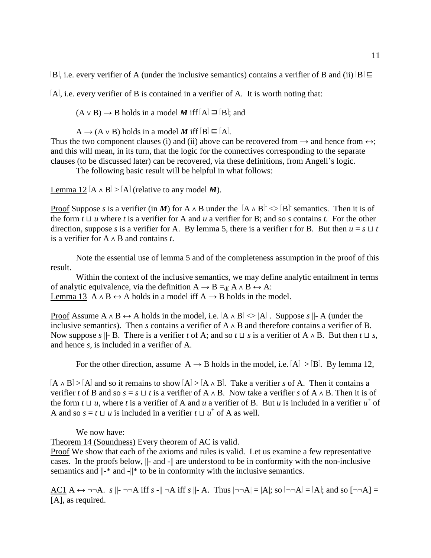B, i.e. every verifier of A (under the inclusive semantics) contains a verifier of B and (ii)  $[B] \subseteq$ 

[A], i.e. every verifier of B is contained in a verifier of A. It is worth noting that:

 $(A \vee B) \rightarrow B$  holds in a model *M* iff  $[A] \sqsupseteq [B]$ ; and

 $A \rightarrow (A \vee B)$  holds in a model *M* iff  $[B] \sqsubseteq [A]$ .

Thus the two component clauses (i) and (ii) above can be recovered from  $\rightarrow$  and hence from  $\leftrightarrow$ ; and this will mean, in its turn, that the logic for the connectives corresponding to the separate clauses (to be discussed later) can be recovered, via these definitions, from Angell's logic.

The following basic result will be helpful in what follows:

Lemma 12  $[A \wedge B] > [A]$  (relative to any model *M*).

Proof Suppose *s* is a verifier (in *M*) for A  $\land$  B under the  $[A \land B] \leq |B|$  semantics. Then it is of the form *t* ⊔ *u* where *t* is a verifier for A and *u* a verifier for B; and so *s* contains *t.* For the other direction, suppose *s* is a verifier for A. By lemma 5, there is a verifier *t* for B. But then  $u = s \sqcup t$ is a verifier for A ∧ B and contains *t*.

Note the essential use of lemma 5 and of the completeness assumption in the proof of this result.

Within the context of the inclusive semantics, we may define analytic entailment in terms of analytic equivalence, via the definition  $A \rightarrow B =_{df} A \land B \leftrightarrow A$ : Lemma 13 A  $\land$  B  $\leftrightarrow$  A holds in a model iff A  $\rightarrow$  B holds in the model.

Proof Assume A  $\land$  B  $\leftrightarrow$  A holds in the model, i.e.  $[A \land B] \ll |A|$ . Suppose *s*  $\parallel$ - A (under the inclusive semantics). Then *s* contains a verifier of  $A \wedge B$  and therefore contains a verifier of B. Now suppose *s*  $||$ - B. There is a verifier *t* of A; and so *t* ⊔ *s* is a verifier of A ∧ B. But then *t* ⊔ *s*, and hence *s*, is included in a verifier of A.

For the other direction, assume  $A \rightarrow B$  holds in the model, i.e.  $[A] > [B]$ . By lemma 12,

 $[A \wedge B] > [A]$  and so it remains to show  $[A] > [A \wedge B]$ . Take a verifier *s* of A. Then it contains a verifier *t* of B and so  $s = s \sqcup t$  is a verifier of A ∧ B. Now take a verifier *s* of A ∧ B. Then it is of the form  $t \sqcup u$ , where  $t$  is a verifier of A and  $u$  a verifier of B. But  $u$  is included in a verifier  $u^+$  of A and so  $s = t \sqcup u$  is included in a verifier  $t \sqcup u^+$  of A as well.

We now have:

Theorem 14 (Soundness) Every theorem of AC is valid.

Proof We show that each of the axioms and rules is valid. Let us examine a few representative cases. In the proofs below, ||- and -|| are understood to be in conformity with the non-inclusive semantics and  $\|$ -\* and - $\|$ \* to be in conformity with the inclusive semantics.

AC1 A  $\leftrightarrow$   $\neg\neg A$ . *s*  $||\rightarrow \neg A$  iff *s* - $||\rightarrow A$  iff *s*  $||\rightarrow A$ . Thus  $|\rightarrow \neg A| = |A|$ ; so  $|\rightarrow \neg A| = |A|$ ; and so  $[\rightarrow \neg A] =$ [A], as required.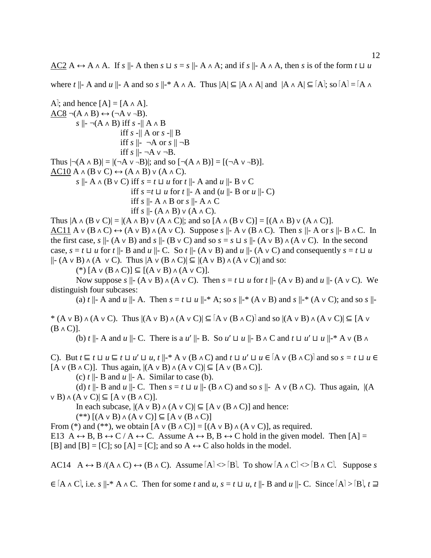AC2 A  $\leftrightarrow$  A  $\land$  A. If *s*  $\parallel$ - A then *s*  $\sqcup$  *s* = *s*  $\parallel$ - A  $\land$  A; and if *s*  $\parallel$ - A  $\land$  A, then *s* is of the form *t*  $\sqcup$  *u* 

where  $t \parallel$ - A and  $u \parallel$ - A and so  $s \parallel$ -\* A  $\land$  A. Thus  $|A| \subseteq |A \land A|$  and  $|A \land A| \subseteq [A]$ ; so  $|A| = |A \land A|$ 

A<sup>1</sup>; and hence [A] = [A 
$$
\land
$$
 A].  
\nAC8  $\neg$ (A  $\land$  B)  $\leftrightarrow$  ( $\neg$ A  $\lor$   $\neg$ B).  
\n $s \parallel \neg$   $\neg$ (A  $\land$  B) iff  $s \cdot \parallel$  A  $\land$  B  
\niff  $s \cdot \parallel$  A or  $s \cdot \parallel$  B  
\niff  $s \mid \neg$   $\neg$  A or  $s \parallel \neg$ B  
\niff  $s \mid \neg$   $\neg$  A or  $s \parallel \neg$ B  
\niff  $s \mid \neg$   $\neg$  A  $\lor \neg$  B.  
\nThus  $|\neg$ (A  $\land$  B)| = |( $\neg$ A  $\lor \neg$ B)|; and so [ $\neg$ (A  $\land$  B)] = [( $\neg$ A  $\lor \neg$ B)].  
\nAC10 A  $\land$  (B  $\lor$  C)  $\leftrightarrow$  (A  $\land$  B)  $\lor$  (A  $\land$  C).  
\n $s \parallel \neg$  A  $\land$  (B  $\lor$  C) iff  $s = t \sqcup u$  for  $t \parallel$  - A and  $u \parallel$  - B  $\lor$  C  
\niff  $s = t \sqcup u$  for  $t \parallel$  - A and  $(u \parallel$  - B or  $u \parallel$  - C)  
\niff  $s \parallel$  - A  $\land$  B or  $s \parallel$  - A  $\land$  C  
\niff  $s \parallel$  - A  $\land$  B or  $s \parallel$  - A  $\land$  C.  
\nThus  $|\land \land$  (B  $\lor$  C)| = |( $\land$  A B)  $\lor$  ( $\land \land$  C)|: and so [A  $\land$  (B  $\lor$  C)] = [( $\land$  A B)

Thus  $|A \wedge (B \vee C)| = |(A \wedge B) \vee (A \wedge C)|$ ; and so  $[A \wedge (B \vee C)] = [(A \wedge B) \vee (A \wedge C)].$ AC11 A  $\vee$  (B  $\wedge$  C)  $\leftrightarrow$  (A  $\vee$  B)  $\wedge$  (A  $\vee$  C). Suppose *s*  $\parallel$ - A  $\vee$  (B  $\wedge$  C). Then *s*  $\parallel$ - A or *s*  $\parallel$ - B  $\wedge$  C. In the first case, *s*  $\parallel$ - (A  $\vee$  B) and *s*  $\parallel$ - (B  $\vee$  C) and so *s* = *s*  $\sqcup$  *s*  $\parallel$ - (A  $\vee$  B)  $\wedge$  (A  $\vee$  C). In the second case,  $s = t$  ⊔ *u* for *t*  $\parallel$ - B and *u*  $\parallel$ - C. So *t*  $\parallel$ - (A ∨ B) and *u*  $\parallel$ - (A ∨ C) and consequently  $s = t$  ⊔ *u*  $||-(A \vee B) \wedge (A \vee C)$ . Thus  $|A \vee (B \wedge C)| \subseteq |(A \vee B) \wedge (A \vee C)|$  and so:

(\*) [A ∨ (B ∧ C)] ⊆ [(A ∨ B) ∧ (A ∨ C)].

Now suppose *s*  $|| \cdot (A \vee B) \wedge (A \vee C)$ . Then  $s = t \sqcup u$  for  $t || \cdot (A \vee B)$  and  $u || \cdot (A \vee C)$ . We distinguish four subcases:

(a)  $t \parallel$ - A and  $u \parallel$ - A. Then  $s = t \sqcup u \parallel$ -\* A; so  $s \parallel$ -\* (A v B) and  $s \parallel$ -\* (A v C); and so  $s \parallel$ -

\*  $(A \vee B) \wedge (A \vee C)$ . Thus  $|(A \vee B) \wedge (A \vee C)| \subseteq [A \vee (B \wedge C)]$  and so  $|(A \vee B) \wedge (A \vee C)| \subseteq [A \vee C]$  $(B \wedge C)$ ].

(b) *t* ||- A and *u* ||- C. There is a *u*ʹ ||- B. So *u*ʹ ⊔ *u* ||- B ∧ C and *t* ⊔ *u*ʹ ⊔ *u* ||-\* A ∨ (B ∧

C). But  $t \subseteq t \sqcup u \subseteq t \sqcup u' \sqcup u$ ,  $t \parallel^{*} A \vee (B \wedge C)$  and  $t \sqcup u' \sqcup u \in [A \vee (B \wedge C)]$  and so  $s = t \sqcup u \in$  $[A \vee (B \wedge C)]$ . Thus again,  $|(A \vee B) \wedge (A \vee C)| \subseteq [A \vee (B \wedge C)]$ .

(c)  $t \parallel$ - B and  $u \parallel$ - A. Similar to case (b).

(d) *t*  $\parallel$ - B and *u*  $\parallel$ - C. Then  $s = t \sqcup u \parallel$ - (B ∧ C) and so  $s \parallel$ - A  $\vee$  (B ∧ C). Thus again,  $\parallel$ (A  $\vee$  B)  $\wedge$  (A  $\vee$  C)|  $\subseteq$  [A  $\vee$  (B  $\wedge$  C)].

In each subcase,  $|(A \vee B) \wedge (A \vee C)| \subseteq [A \vee (B \wedge C)]$  and hence:

 $(**)$  [(A ∨ B)  $\land$  (A ∨ C)] ⊆ [A ∨ (B  $\land$  C)]

From (\*) and (\*\*), we obtain  $[A \vee (B \wedge C)] = [(A \vee B) \wedge (A \vee C)]$ , as required.

E13 A  $\leftrightarrow$  B, B  $\leftrightarrow$  C / A  $\leftrightarrow$  C. Assume A  $\leftrightarrow$  B, B  $\leftrightarrow$  C hold in the given model. Then [A] = [B] and [B] = [C]; so [A] = [C]; and so  $A \leftrightarrow C$  also holds in the model.

AC14 A  $\leftrightarrow$  B /(A  $\land$  C)  $\leftrightarrow$  (B  $\land$  C). Assume  $[A] \leq B$ . To show  $[A \land C] \leq B \land C$ . Suppose *s* 

 $\in$  [A  $\wedge$  C], i.e. *s*  $\|\cdot^* A \wedge C$ . Then for some *t* and *u*, *s* = *t*  $\sqcup$  *u*, *t*  $\|\cdot$  B and *u*  $\|\cdot C$ . Since [A] > [B], *t*  $\sqsupseteq$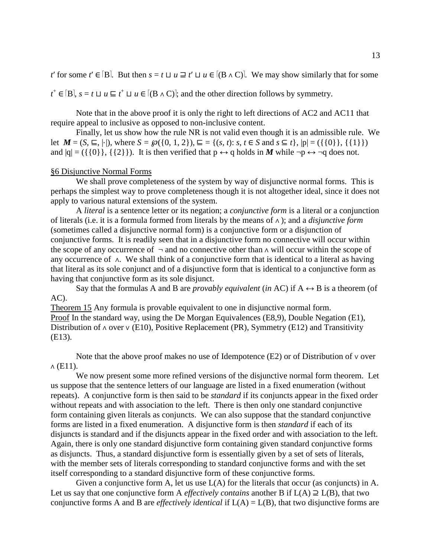*t*' for some *t*' ∈ [B]. But then  $s = t \sqcup u \sqsupseteq t' \sqcup u \in [(B \land C)]$ . We may show similarly that for some

*t*<sup>+</sup> ∈ [B], *s* = *t* ⊔ *u* ⊑ *t*<sup>+</sup> ⊔ *u* ∈ [(B ∧ C)<sup>]</sup>; and the other direction follows by symmetry.

Note that in the above proof it is only the right to left directions of AC2 and AC11 that require appeal to inclusive as opposed to non-inclusive content.

Finally, let us show how the rule NR is not valid even though it is an admissible rule. We let *M* = (*S*, ⊑, |⋅|), where *S* =  $\wp$ ({0, 1, 2}), ⊑ = {(*s*, *t*): *s*, *t* ∈ *S* and *s* ⊆ *t*}, |p| = ({{0}}, {{1}}) and  $|q| = (\{\{0\}\}, \{\{2\}\})$ . It is then verified that  $p \leftrightarrow q$  holds in *M* while  $\neg p \leftrightarrow \neg q$  does not.

## §6 Disjunctive Normal Forms

We shall prove completeness of the system by way of disjunctive normal forms. This is perhaps the simplest way to prove completeness though it is not altogether ideal, since it does not apply to various natural extensions of the system.

A *literal* is a sentence letter or its negation; a *conjunctive form* is a literal or a conjunction of literals (i.e. it is a formula formed from literals by the means of ∧ ); and a *disjunctive form* (sometimes called a disjunctive normal form) is a conjunctive form or a disjunction of conjunctive forms. It is readily seen that in a disjunctive form no connective will occur within the scope of any occurrence of ¬ and no connective other than ∧ will occur within the scope of any occurrence of ∧. We shall think of a conjunctive form that is identical to a literal as having that literal as its sole conjunct and of a disjunctive form that is identical to a conjunctive form as having that conjunctive form as its sole disjunct.

Say that the formulas A and B are *provably equivalent* (*in* AC) if  $A \leftrightarrow B$  is a theorem (of AC).

Theorem 15 Any formula is provable equivalent to one in disjunctive normal form. Proof In the standard way, using the De Morgan Equivalences (E8,9), Double Negation (E1), Distribution of ∧ over ∨ (E10), Positive Replacement (PR), Symmetry (E12) and Transitivity (E13).

Note that the above proof makes no use of Idempotence (E2) or of Distribution of ∨ over  $\wedge$  (E11).

We now present some more refined versions of the disjunctive normal form theorem. Let us suppose that the sentence letters of our language are listed in a fixed enumeration (without repeats). A conjunctive form is then said to be *standard* if its conjuncts appear in the fixed order without repeats and with association to the left. There is then only one standard conjunctive form containing given literals as conjuncts. We can also suppose that the standard conjunctive forms are listed in a fixed enumeration. A disjunctive form is then *standard* if each of its disjuncts is standard and if the disjuncts appear in the fixed order and with association to the left. Again, there is only one standard disjunctive form containing given standard conjunctive forms as disjuncts. Thus, a standard disjunctive form is essentially given by a set of sets of literals, with the member sets of literals corresponding to standard conjunctive forms and with the set itself corresponding to a standard disjunctive form of these conjunctive forms.

Given a conjunctive form A, let us use L(A) for the literals that occur (as conjuncts) in A. Let us say that one conjunctive form A *effectively contains* another B if  $L(A) \supseteq L(B)$ , that two conjunctive forms A and B are *effectively identical* if L(A) = L(B), that two disjunctive forms are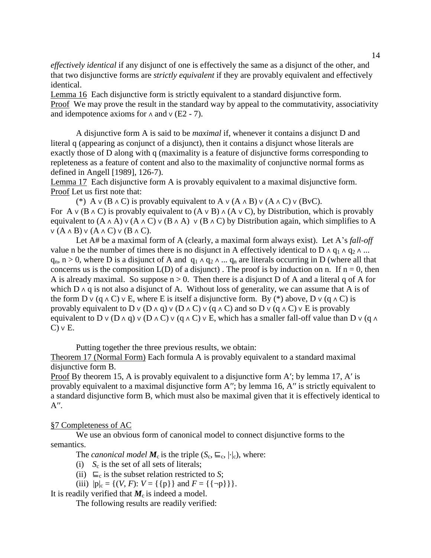*effectively identical* if any disjunct of one is effectively the same as a disjunct of the other, and that two disjunctive forms are *strictly equivalent* if they are provably equivalent and effectively identical.

Lemma 16 Each disjunctive form is strictly equivalent to a standard disjunctive form. Proof We may prove the result in the standard way by appeal to the commutativity, associativity and idempotence axioms for  $\land$  and  $\lor$  (E2 - 7).

A disjunctive form A is said to be *maximal* if, whenever it contains a disjunct D and literal q (appearing as conjunct of a disjunct), then it contains a disjunct whose literals are exactly those of D along with q (maximality is a feature of disjunctive forms corresponding to repleteness as a feature of content and also to the maximality of conjunctive normal forms as defined in Angell [1989], 126-7).

Lemma 17 Each disjunctive form A is provably equivalent to a maximal disjunctive form. Proof Let us first note that:

(\*) A  $\vee$  (B  $\wedge$  C) is provably equivalent to A  $\vee$  (A  $\wedge$  B)  $\vee$  (A  $\wedge$  C)  $\vee$  (BvC). For A  $\vee$  (B  $\wedge$  C) is provably equivalent to (A  $\vee$  B)  $\wedge$  (A  $\vee$  C), by Distribution, which is provably equivalent to  $(A \wedge A) \vee (A \wedge C) \vee (B \wedge A) \vee (B \wedge C)$  by Distribution again, which simplifies to A  $V(A \land B) V(A \land C) V(B \land C).$ 

Let A# be a maximal form of A (clearly, a maximal form always exist). Let A's *fall-off* value n be the number of times there is no disjunct in A effectively identical to D ∧  $q_1 \wedge q_2 \wedge ...$  $q_n$ , n > 0, where D is a disjunct of A and  $q_1 \wedge q_2 \wedge ... q_n$  are literals occurring in D (where all that concerns us is the composition  $L(D)$  of a disjunct). The proof is by induction on n. If  $n = 0$ , then A is already maximal. So suppose  $n > 0$ . Then there is a disjunct D of A and a literal q of A for which D  $\land$  q is not also a disjunct of A. Without loss of generality, we can assume that A is of the form D v (q  $\wedge$  C)  $\vee$  E, where E is itself a disjunctive form. By (\*) above, D  $\vee$  (q  $\wedge$  C) is provably equivalent to D  $\vee$  (D  $\wedge$  q)  $\vee$  (D  $\wedge$  C)  $\vee$  (q  $\wedge$  C) and so D  $\vee$  (q  $\wedge$  C)  $\vee$  E is provably equivalent to D v (D ∧ q) v (D ∧ C) v (q ∧ C) v E, which has a smaller fall-off value than D v (q  $\land$  $C$ )  $\vee$  E.

Putting together the three previous results, we obtain:

Theorem 17 (Normal Form) Each formula A is provably equivalent to a standard maximal disjunctive form B.

Proof By theorem 15, A is provably equivalent to a disjunctive form A'; by lemma 17, A' is provably equivalent to a maximal disjunctive form A''; by lemma 16, A'' is strictly equivalent to a standard disjunctive form B, which must also be maximal given that it is effectively identical to  $A^{\prime\prime}$ .

## §7 Completeness of AC

We use an obvious form of canonical model to connect disjunctive forms to the semantics.

The *canonical model*  $M_c$  is the triple  $(S_c, \sqsubseteq_c, |\cdot|_c)$ , where:

- (i) *S*<sup>c</sup> is the set of all sets of literals;
- (ii)  $\sqsubseteq_c$  is the subset relation restricted to *S*;
- (iii)  $|p|_c = \{(V, F): V = \{\{p\}\}\$  and  $F = \{\{\neg p\}\}\}.$

It is readily verified that  $M_c$  is indeed a model.

The following results are readily verified: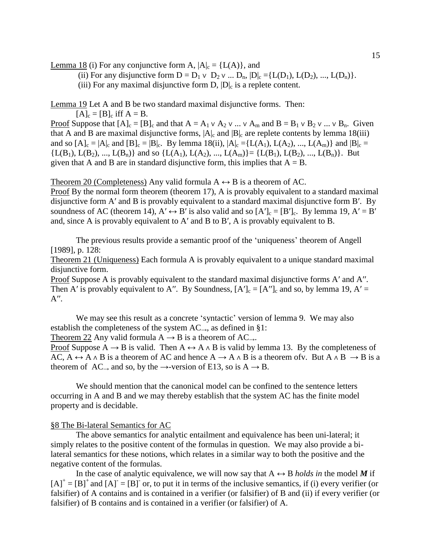Lemma 18 (i) For any conjunctive form A,  $|A|_c = \{L(A)\}\$ , and

(ii) For any disjunctive form  $D = D_1 \vee D_2 \vee \dots D_n$ ,  $|D|_c = \{L(D_1), L(D_2), ..., L(D_n)\}.$ 

(iii) For any maximal disjunctive form  $D$ ,  $|D|_c$  is a replete content.

Lemma 19 Let A and B be two standard maximal disjunctive forms. Then:

 $[A]_c = [B]_c$  iff  $A = B$ .

Proof Suppose that  $[A]_c = [B]_c$  and that  $A = A_1 \vee A_2 \vee ... \vee A_m$  and  $B = B_1 \vee B_2 \vee ... \vee B_n$ . Given that A and B are maximal disjunctive forms,  $|A|_c$  and  $|B|_c$  are replete contents by lemma 18(iii) and so  $[A]_c = |A|_c$  and  $[B]_c = |B|_c$ . By lemma 18(ii),  $|A|_c = \{L(A_1), L(A_2), ..., L(A_m)\}\$  and  $|B|_c =$  ${L(B_1), L(B_2), ..., L(B_n)}$  and so  ${L(A_1), L(A_2), ..., L(A_m)} = {L(B_1), L(B_2), ..., L(B_n)}$ . But given that A and B are in standard disjunctive form, this implies that  $A = B$ .

Theorem 20 (Completeness) Any valid formula  $A \leftrightarrow B$  is a theorem of AC.

Proof By the normal form theorem (theorem 17), A is provably equivalent to a standard maximal disjunctive form A' and B is provably equivalent to a standard maximal disjunctive form B'. By soundness of AC (theorem 14),  $A' \leftrightarrow B'$  is also valid and so  $[A']_c = [B']_c$ . By lemma 19,  $A' = B'$ and, since A is provably equivalent to Aʹ and B to Bʹ, A is provably equivalent to B.

The previous results provide a semantic proof of the 'uniqueness' theorem of Angell [1989], p. 128:

Theorem 21 (Uniqueness) Each formula A is provably equivalent to a unique standard maximal disjunctive form.

Proof Suppose A is provably equivalent to the standard maximal disjunctive forms A' and A''. Then A' is provably equivalent to A''. By Soundness,  $[A']_c = [A'']_c$  and so, by lemma 19, A' =  $A^{\prime\prime}$ .

We may see this result as a concrete 'syntactic' version of lemma 9. We may also establish the completeness of the system  $AC_{\rightarrow}$ , as defined in §1:

Theorem 22 Any valid formula  $A \rightarrow B$  is a theorem of  $AC_{\rightarrow}$ .

Proof Suppose A  $\rightarrow$  B is valid. Then A  $\leftrightarrow$  A  $\land$  B is valid by lemma 13. By the completeness of AC, A  $\leftrightarrow$  A ∧ B is a theorem of AC and hence A  $\rightarrow$  A ∧ B is a theorem ofv. But A ∧ B  $\rightarrow$  B is a theorem of  $AC$ , and so, by the  $\rightarrow$ -version of E13, so is  $A \rightarrow B$ .

We should mention that the canonical model can be confined to the sentence letters occurring in A and B and we may thereby establish that the system AC has the finite model property and is decidable.

## §8 The Bi-lateral Semantics for AC

The above semantics for analytic entailment and equivalence has been uni-lateral; it simply relates to the positive content of the formulas in question. We may also provide a bilateral semantics for these notions, which relates in a similar way to both the positive and the negative content of the formulas.

In the case of analytic equivalence, we will now say that  $A \leftrightarrow B$  *holds in* the model M if  $[A]^+$  =  $[B]^+$  and  $[A]^ = [B]^-$  or, to put it in terms of the inclusive semantics, if (i) every verifier (or falsifier) of A contains and is contained in a verifier (or falsifier) of B and (ii) if every verifier (or falsifier) of B contains and is contained in a verifier (or falsifier) of A.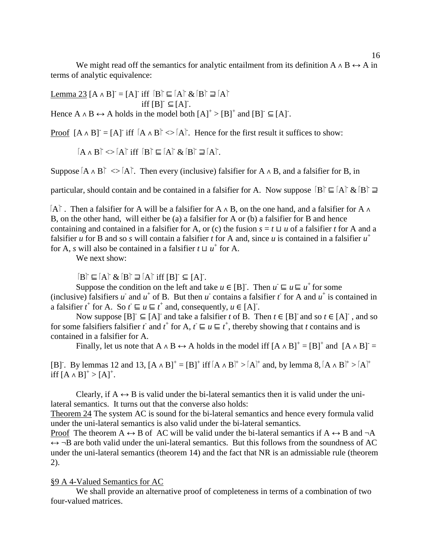We might read off the semantics for analytic entailment from its definition A  $\land$  B  $\leftrightarrow$  A in terms of analytic equivalence:

Lemma 23  $[A \wedge B] = [A]$  iff  $[B] \sqsubseteq [A]$  &  $[B] \sqsupseteq [A]$  $\text{iff } [B]^{T} \subseteq [A]^{T}$ . Hence  $A \wedge B \leftrightarrow A$  holds in the model both  $[A]^+$  >  $[B]^+$  and  $[B]^-\subseteq [A]$ .

Proof  $[A \wedge B] = [A]$  iff  $[A \wedge B] \iff [A]$ . Hence for the first result it suffices to show:

 $[A \wedge B] \Leftrightarrow [A]$  iff  $[B] \sqsubseteq [A]$  &  $[B] \sqsupseteq [A]$ .

Suppose  $[A \wedge B] \leq [A]$ . Then every (inclusive) falsifier for A  $\wedge$  B, and a falsifier for B, in

particular, should contain and be contained in a falsifier for A. Now suppose  $[B] \subseteq [A] \& [B] \supseteq$ 

A - . Then a falsifier for A will be a falsifier for A ∧ B, on the one hand, and a falsifier for A ∧ B, on the other hand, will either be (a) a falsifier for A or (b) a falsifier for B and hence containing and contained in a falsifier for A, or (c) the fusion  $s = t \sqcup u$  of a falsifier *t* for A and a falsifier *u* for B and so *s* will contain a falsifier *t* for A and, since *u* is contained in a falsifier  $u^+$ for A, *s* will also be contained in a falsifier  $t \sqcup u^+$  for A.

We next show:

 $[B] \sqsubseteq [A] \& [B] \sqsupseteq [A]$  iff  $[B] \subseteq [A]$ .

Suppose the condition on the left and take  $u \in [B]$ . Then  $u \subseteq u \subseteq u^+$  for some (inclusive) falsifiers *u* and *u*<sup>+</sup> of B. But then *u* contains a falsifier *t* for A and *u*<sup>+</sup> is contained in a falsifier  $t^+$  for A. So  $t \sqsubseteq u \sqsubseteq t^+$  and, consequently,  $u \in [A]$ .

Now suppose  $[B] \subseteq [A]$  and take a falsifier *t* of B. Then  $t \in [B]$  and so  $t \in [A]$ , and so for some falsifiers falsifier *t* and *t*<sup>+</sup> for A,  $t \sqsubseteq u \sqsubseteq t^+$ , thereby showing that *t* contains and is contained in a falsifier for A.

Finally, let us note that  $A \wedge B \leftrightarrow A$  holds in the model iff  $[A \wedge B]^+ = [B]^+$  and  $[A \wedge B]^-=$ 

[B]. By lemmas 12 and 13,  $[A \wedge B]^+ = [B]^+$  iff  $[A \wedge B]^+ > [A]^+$  and, by lemma 8,  $[A \wedge B]^+ > [A]^+$ iff  $[A ∧ B]^+ > [A]^+$ .

Clearly, if  $A \leftrightarrow B$  is valid under the bi-lateral semantics then it is valid under the unilateral semantics. It turns out that the converse also holds:

Theorem 24 The system AC is sound for the bi-lateral semantics and hence every formula valid under the uni-lateral semantics is also valid under the bi-lateral semantics.

Proof The theorem A  $\leftrightarrow$  B of AC will be valid under the bi-lateral semantics if A  $\leftrightarrow$  B and  $\neg$ A  $\leftrightarrow \neg B$  are both valid under the uni-lateral semantics. But this follows from the soundness of AC under the uni-lateral semantics (theorem 14) and the fact that NR is an admissiable rule (theorem 2).

# §9 A 4-Valued Semantics for AC

We shall provide an alternative proof of completeness in terms of a combination of two four-valued matrices.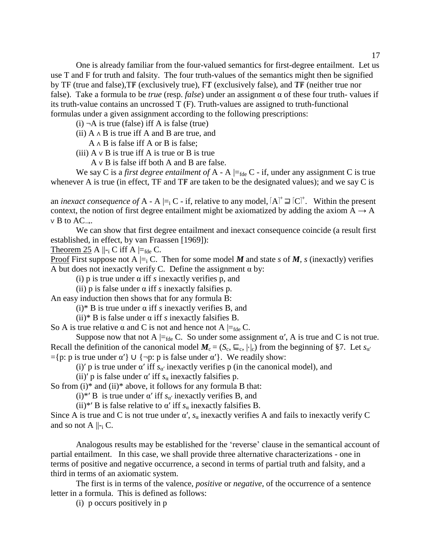One is already familiar from the four-valued semantics for first-degree entailment. Let us use T and F for truth and falsity. The four truth-values of the semantics might then be signified by TF (true and false),  $TF$  (exclusively true),  $FT$  (exclusively false), and  $TF$  (neither true nor false). Take a formula to be *true* (resp. *false*) under an assignment α of these four truth- values if its truth-value contains an uncrossed T (F). Truth-values are assigned to truth-functional formulas under a given assignment according to the following prescriptions:

- $(i)$   $\neg A$  is true (false) iff A is false (true)
- (ii)  $A \wedge B$  is true iff A and B are true, and
	- A ∧ B is false iff A or B is false;
- (iii)  $A \vee B$  is true iff A is true or B is true
	- A ∨ B is false iff both A and B are false.

We say C is a *first degree entailment of*  $A - A \models_{\text{fde}} C - \text{if}$ , under any assignment C is true whenever A is true (in effect, TF and TF are taken to be the designated values); and we say C is

an *inexact consequence of*  $A - A \models_i C - if$ , relative to any model,  $[A]^+ \sqsupseteq [C]^+$ . Within the present context, the notion of first degree entailment might be axiomatized by adding the axiom  $A \rightarrow A$  $\vee$  B to AC<sub>→</sub>.

We can show that first degree entailment and inexact consequence coincide (a result first established, in effect, by van Fraassen [1969]):

Theorem 25 A  $\parallel$ -<sub>i</sub> C iff A  $\models$ <sub>fde</sub> C.

Proof First suppose not A  $\models_i C$ . Then for some model M and state *s* of M, *s* (inexactly) verifies A but does not inexactly verify C. Define the assignment  $\alpha$  by:

(i) p is true under α iff *s* inexactly verifies p, and

(ii) p is false under α iff *s* inexactly falsifies p.

An easy induction then shows that for any formula B:

(i)\* B is true under α iff *s* inexactly verifies B, and

(ii)\* B is false under α iff *s* inexactly falsifies B.

So A is true relative  $\alpha$  and C is not and hence not A  $\models_{\text{fde}} C$ .

Suppose now that not A  $\models_{\text{fde}} C$ . So under some assignment  $\alpha'$ , A is true and C is not true. Recall the definition of the canonical model  $M_c = (S_c, \sqsubseteq_c, |\cdot|_c)$  from the beginning of §7. Let  $s_{\alpha'}$  $=$ {p: p is true under  $\alpha'$ }  $\cup$  {¬p: p is false under  $\alpha'$ }. We readily show:

(i)' p is true under  $\alpha'$  iff  $s_{\alpha'}$  inexactly verifies p (in the canonical model), and

(ii)' p is false under  $\alpha'$  iff  $s_\alpha$  inexactly falsifies p.

So from  $(i)$ <sup>\*</sup> and  $(ii)$ <sup>\*</sup> above, it follows for any formula B that:

(i)<sup>\*</sup>' B is true under  $\alpha'$  iff  $s_{\alpha'}$  inexactly verifies B, and

(ii)<sup>\*</sup>' B is false relative to  $\alpha'$  iff  $s_{\alpha}$  inexactly falsifies B.

Since A is true and C is not true under  $\alpha'$ ,  $s_\alpha$  inexactly verifies A and fails to inexactly verify C and so not A  $\parallel$ -<sub>i</sub> C.

Analogous results may be established for the 'reverse' clause in the semantical account of partial entailment. In this case, we shall provide three alternative characterizations - one in terms of positive and negative occurrence, a second in terms of partial truth and falsity, and a third in terms of an axiomatic system.

The first is in terms of the valence, *positive* or *negative*, of the occurrence of a sentence letter in a formula. This is defined as follows:

(i) p occurs positively in p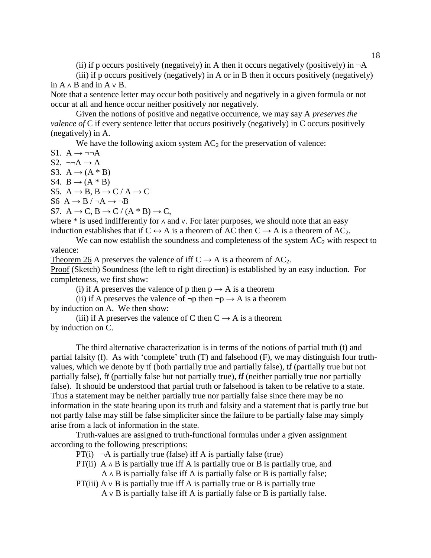(ii) if p occurs positively (negatively) in A then it occurs negatively (positively) in  $\neg A$ 

(iii) if p occurs positively (negatively) in A or in B then it occurs positively (negatively) in  $A \wedge B$  and in  $A \vee B$ .

Note that a sentence letter may occur both positively and negatively in a given formula or not occur at all and hence occur neither positively nor negatively.

Given the notions of positive and negative occurrence, we may say A *preserves the valence of* C if every sentence letter that occurs positively (negatively) in C occurs positively (negatively) in A.

We have the following axiom system  $AC<sub>2</sub>$  for the preservation of valence:

 $S1. A \rightarrow \neg\neg A$ 

S2.  $\neg\neg A \rightarrow A$ 

S3.  $A \rightarrow (A * B)$ 

S4.  $B \rightarrow (A * B)$ 

S5.  $A \rightarrow B$ ,  $B \rightarrow C / A \rightarrow C$ 

S6  $A \rightarrow B / \neg A \rightarrow \neg B$ 

S7.  $A \rightarrow C$ ,  $B \rightarrow C / (A * B) \rightarrow C$ ,

where \* is used indifferently for ∧ and ∨. For later purposes, we should note that an easy induction establishes that if  $C \leftrightarrow A$  is a theorem of AC then  $C \rightarrow A$  is a theorem of AC<sub>2</sub>. We can now establish the soundness and completeness of the system  $AC<sub>2</sub>$  with respect to

valence:

Theorem 26 A preserves the valence of iff  $C \rightarrow A$  is a theorem of AC<sub>2</sub>.

Proof (Sketch) Soundness (the left to right direction) is established by an easy induction. For completeness, we first show:

(i) if A preserves the valence of p then  $p \rightarrow A$  is a theorem

(ii) if A preserves the valence of  $\neg p$  then  $\neg p \rightarrow A$  is a theorem by induction on A. We then show:

(iii) if A preserves the valence of C then  $C \rightarrow A$  is a theorem by induction on C.

The third alternative characterization is in terms of the notions of partial truth (t) and partial falsity (f). As with 'complete' truth (T) and falsehood (F), we may distinguish four truthvalues, which we denote by tf (both partially true and partially false), if (partially true but not partially false), ft (partially false but not partially true), if (neither partially true nor partially false). It should be understood that partial truth or falsehood is taken to be relative to a state. Thus a statement may be neither partially true nor partially false since there may be no information in the state bearing upon its truth and falsity and a statement that is partly true but not partly false may still be false simpliciter since the failure to be partially false may simply arise from a lack of information in the state.

Truth-values are assigned to truth-functional formulas under a given assignment according to the following prescriptions:

 $PT(i)$   $\neg A$  is partially true (false) iff A is partially false (true)

PT(ii) A  $\land$  B is partially true iff A is partially true or B is partially true, and

 $A \wedge B$  is partially false iff A is partially false or B is partially false;

PT(iii)  $A \vee B$  is partially true iff A is partially true or B is partially true  $A \vee B$  is partially false iff A is partially false or B is partially false.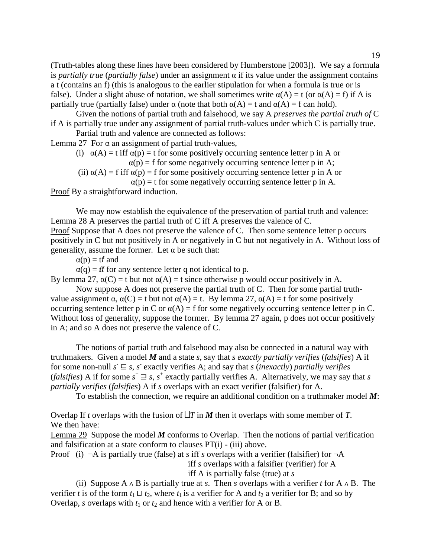(Truth-tables along these lines have been considered by Humberstone [2003]). We say a formula is *partially true* (*partially false*) under an assignment α if its value under the assignment contains a t (contains an f) (this is analogous to the earlier stipulation for when a formula is true or is false). Under a slight abuse of notation, we shall sometimes write  $\alpha(A) = t$  (or  $\alpha(A) = f$ ) if A is partially true (partially false) under  $\alpha$  (note that both  $\alpha(A) = t$  and  $\alpha(A) = f$  can hold).

Given the notions of partial truth and falsehood, we say A *preserves the partial truth of* C if A is partially true under any assignment of partial truth-values under which C is partially true.

Partial truth and valence are connected as follows:

Lemma 27 For α an assignment of partial truth-values,

(i)  $\alpha(A) = t$  iff  $\alpha(p) = t$  for some positively occurring sentence letter p in A or

 $\alpha(p)$  = f for some negatively occurring sentence letter p in A;

(ii)  $\alpha(A) = f$  iff  $\alpha(p) = f$  for some positively occurring sentence letter p in A or

 $\alpha(p) = t$  for some negatively occurring sentence letter p in A.

Proof By a straightforward induction.

We may now establish the equivalence of the preservation of partial truth and valence: Lemma 28 A preserves the partial truth of C iff A preserves the valence of C. Proof Suppose that A does not preserve the valence of C. Then some sentence letter p occurs positively in C but not positively in A or negatively in C but not negatively in A. Without loss of generality, assume the former. Let  $\alpha$  be such that:

 $\alpha(p) = tf$  and

 $\alpha(q) = tf$  for any sentence letter q not identical to p.

By lemma 27,  $\alpha(C) = t$  but not  $\alpha(A) = t$  since otherwise p would occur positively in A.

Now suppose A does not preserve the partial truth of C. Then for some partial truthvalue assignment  $\alpha$ ,  $\alpha(C) = t$  but not  $\alpha(A) = t$ . By lemma 27,  $\alpha(A) = t$  for some positively occurring sentence letter p in C or  $\alpha(A) = f$  for some negatively occurring sentence letter p in C. Without loss of generality, suppose the former. By lemma 27 again, p does not occur positively in A; and so A does not preserve the valence of C.

The notions of partial truth and falsehood may also be connected in a natural way with truthmakers. Given a model *M* and a state *s*, say that *s exactly partially verifies* (*falsifies*) A if for some non-null  $s \subseteq s$ , *s* exactly verifies A; and say that *s* (*inexactly*) *partially verifies* (*falsifies*) A if for some  $s^+ \rightrightarrows s$ ,  $s^+$  exactly partially verifies A. Alternatively, we may say that *s partially verifies* (*falsifies*) A if *s* overlaps with an exact verifier (falsifier) for A.

To establish the connection, we require an additional condition on a truthmaker model *M*:

Overlap If *t* overlaps with the fusion of  $\Box T$  in *M* then it overlaps with some member of *T*. We then have:

Lemma 29 Suppose the model *M* conforms to Overlap. Then the notions of partial verification and falsification at a state conform to clauses PT(i) - (iii) above.

Proof (i)  $\neg A$  is partially true (false) at *s* iff *s* overlaps with a verifier (falsifier) for  $\neg A$  iff *s* overlaps with a falsifier (verifier) for A iff A is partially false (true) at *s*

(ii) Suppose A ∧ B is partially true at *s*. Then *s* overlaps with a verifier *t* for A ∧ B. The verifier *t* is of the form  $t_1 \sqcup t_2$ , where  $t_1$  is a verifier for A and  $t_2$  a verifier for B; and so by Overlap, *s* overlaps with  $t_1$  or  $t_2$  and hence with a verifier for A or B.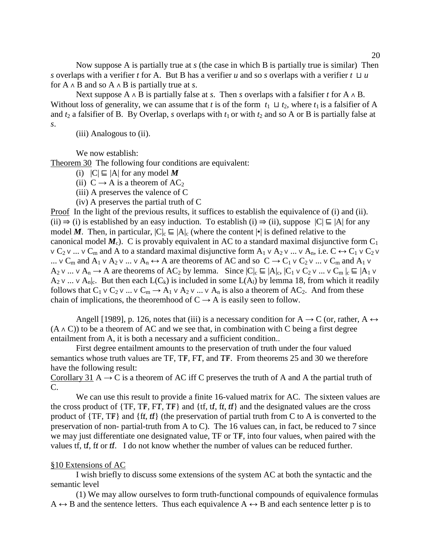Now suppose A is partially true at *s* (the case in which B is partially true is similar) Then *s* overlaps with a verifier *t* for A. But B has a verifier *u* and so *s* overlaps with a verifier *t* ⊔ *u* for A ∧ B and so A ∧ B is partially true at *s*.

Next suppose A ∧ B is partially false at *s*. Then *s* overlaps with a falsifier *t* for A ∧ B. Without loss of generality, we can assume that *t* is of the form  $t_1 \sqcup t_2$ , where  $t_1$  is a falsifier of A and  $t_2$  a falsifier of B. By Overlap, *s* overlaps with  $t_1$  or with  $t_2$  and so A or B is partially false at *s*.

(iii) Analogous to (ii).

We now establish:

Theorem 30 The following four conditions are equivalent:

(i)  $|C|$  ⊑ |A| for any model *M* 

(ii)  $C \rightarrow A$  is a theorem of AC<sub>2</sub>

(iii) A preserves the valence of C

(iv) A preserves the partial truth of C

Proof In the light of the previous results, it suffices to establish the equivalence of (i) and (ii). (ii)  $\Rightarrow$  (i) is established by an easy induction. To establish (i)  $\Rightarrow$  (ii), suppose  $|C| \subseteq |A|$  for any model *M*. Then, in particular,  $|C|_c \subseteq |A|_c$  (where the content  $|\cdot|$  is defined relative to the canonical model  $M_c$ ). C is provably equivalent in AC to a standard maximal disjunctive form  $C_1$  $\vee C_2 \vee ... \vee C_m$  and A to a standard maximal disjunctive form  $A_1 \vee A_2 \vee ... \vee A_n$ , i.e.  $C \leftrightarrow C_1 \vee C_2 \vee ...$ ...  $\vee$  C<sub>m</sub> and A<sub>1</sub>  $\vee$  A<sub>2</sub>  $\vee$  ...  $\vee$  A<sub>n</sub>  $\leftrightarrow$  A are theorems of AC and so C  $\rightarrow$  C<sub>1</sub>  $\vee$  C<sub>2</sub>  $\vee$  ...  $\vee$  C<sub>m</sub> and A<sub>1</sub>  $\vee$  $A_2$  v ...  $\vee$   $A_n \rightarrow A$  are theorems of  $AC_2$  by lemma. Since  $|C|_c \sqsubseteq |A|_c$ ,  $|C_1 \vee C_2 \vee ... \vee C_m|_c \sqsubseteq |A_1 \vee C_2 \vee ... \vee C_m|_c$  $A_2$  ∨ ... ∨  $A_n$ <sub>l</sub>. But then each  $L(C_k)$  is included in some  $L(A_1)$  by lemma 18, from which it readily follows that  $C_1 \vee C_2 \vee \dots \vee C_m \rightarrow A_1 \vee A_2 \vee \dots \vee A_n$  is also a theorem of AC<sub>2</sub>. And from these chain of implications, the theoremhood of  $C \rightarrow A$  is easily seen to follow.

Angell [1989], p. 126, notes that (iii) is a necessary condition for  $A \rightarrow C$  (or, rather,  $A \leftrightarrow$  $(A \wedge C)$  to be a theorem of AC and we see that, in combination with C being a first degree entailment from A, it is both a necessary and a sufficient condition..

First degree entailment amounts to the preservation of truth under the four valued semantics whose truth values are TF, TF, FT, and TF. From theorems 25 and 30 we therefore have the following result:

Corollary 31 A  $\rightarrow$  C is a theorem of AC iff C preserves the truth of A and A the partial truth of C.

We can use this result to provide a finite 16-valued matrix for AC. The sixteen values are the cross product of  $\{TF, TF, FT, TF\}$  and  $\{tf, tf, ff, ff\}$  and the designated values are the cross product of  $\{TF, TF\}$  and  $\{ff, ff\}$  (the preservation of partial truth from C to A is converted to the preservation of non- partial-truth from A to C). The 16 values can, in fact, be reduced to 7 since we may just differentiate one designated value, TF or TF, into four values, when paired with the values tf, tf, ft or tf. I do not know whether the number of values can be reduced further.

#### §10 Extensions of AC

I wish briefly to discuss some extensions of the system AC at both the syntactic and the semantic level

(1) We may allow ourselves to form truth-functional compounds of equivalence formulas  $A \leftrightarrow B$  and the sentence letters. Thus each equivalence  $A \leftrightarrow B$  and each sentence letter p is to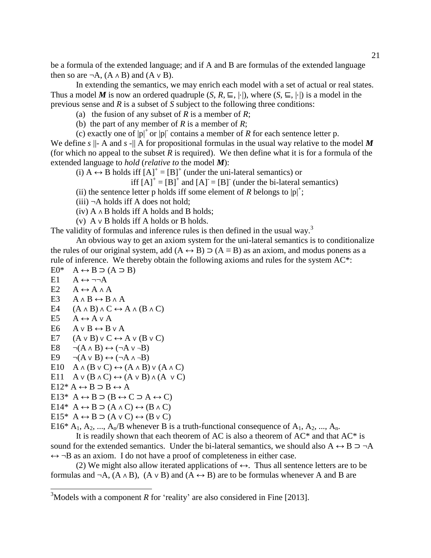be a formula of the extended language; and if A and B are formulas of the extended language then so are  $\neg A$ ,  $(A \land B)$  and  $(A \lor B)$ .

In extending the semantics, we may enrich each model with a set of actual or real states. Thus a model *M* is now an ordered quadruple  $(S, R, \subseteq, |·|)$ , where  $(S, \subseteq, |·|)$  is a model in the previous sense and *R* is a subset of *S* subject to the following three conditions:

(a) the fusion of any subset of *R* is a member of *R*;

(b) the part of any member of *R* is a member of *R*;

(c) exactly one of  $|p|^+$  or  $|p|^-$  contains a member of *R* for each sentence letter p.

We define  $s \parallel$ - A and  $s \parallel$  A for propositional formulas in the usual way relative to the model M (for which no appeal to the subset  $R$  is required). We then define what it is for a formula of the extended language to *hold* (*relative to* the model *M*):

(i)  $A \leftrightarrow B$  holds iff  $[A]^+ = [B]^+$  (under the uni-lateral semantics) or

iff  $[A]^{+} = [B]^{+}$  and  $[A]^{-} = [B]^{-}$  (under the bi-lateral semantics)

(ii) the sentence letter p holds iff some element of *R* belongs to  $|p|$ <sup>+</sup>;

 $(iii)$   $\neg A$  holds iff A does not hold;

 $(iv)$  A  $\land$  B holds iff A holds and B holds;

(v) A ∨ B holds iff A holds or B holds.

The validity of formulas and inference rules is then defined in the usual way.<sup>3</sup>

An obvious way to get an axiom system for the uni-lateral semantics is to conditionalize the rules of our original system, add  $(A \leftrightarrow B) \supset (A \equiv B)$  as an axiom, and modus ponens as a rule of inference. We thereby obtain the following axioms and rules for the system AC\*:  $E0^*$  A  $\leftrightarrow$  B  $\supset$  (A  $\supset$  B)

- $E1 \quad A \leftrightarrow \neg\neg A$
- E2  $A \leftrightarrow A \wedge A$
- E3  $A \wedge B \leftrightarrow B \wedge A$
- E4  $(A \wedge B) \wedge C \leftrightarrow A \wedge (B \wedge C)$
- E5  $A \leftrightarrow A \vee A$
- E6  $A \vee B \leftrightarrow B \vee A$
- E7  $(A \vee B) \vee C \leftrightarrow A \vee (B \vee C)$
- E8  $\neg(A \land B) \leftrightarrow (\neg A \lor \neg B)$
- E9  $\neg(A \lor B) \leftrightarrow (\neg A \land \neg B)$
- E10  $A \wedge (B \vee C) \leftrightarrow (A \wedge B) \vee (A \wedge C)$
- E11 A  $\vee$  (B  $\wedge$  C)  $\leftrightarrow$  (A  $\vee$  B)  $\wedge$  (A  $\vee$  C)
- E12\* A  $\leftrightarrow$  B  $\supset$  B  $\leftrightarrow$  A

 $\overline{\phantom{a}}$ 

- E13\* A ↔ B  $\supset$  (B ↔ C  $\supset$  A ↔ C)
- E14\*  $A \leftrightarrow B \supset (A \land C) \leftrightarrow (B \land C)$

$$
E15^* A \leftrightarrow B \supset (A \vee C) \leftrightarrow (B \vee C)
$$

E16\*  $A_1$ ,  $A_2$ , ...,  $A_n/B$  whenever B is a truth-functional consequence of  $A_1$ ,  $A_2$ , ...,  $A_n$ .

It is readily shown that each theorem of AC is also a theorem of  $AC^*$  and that  $AC^*$  is sound for the extended semantics. Under the bi-lateral semantics, we should also A  $\leftrightarrow$  B  $\supset \neg A$  $\leftrightarrow \neg B$  as an axiom. I do not have a proof of completeness in either case.

(2) We might also allow iterated applications of  $\leftrightarrow$ . Thus all sentence letters are to be formulas and ¬A,  $(A \wedge B)$ ,  $(A \vee B)$  and  $(A \leftrightarrow B)$  are to be formulas whenever A and B are

<sup>&</sup>lt;sup>3</sup>Models with a component *R* for 'reality' are also considered in Fine [2013].